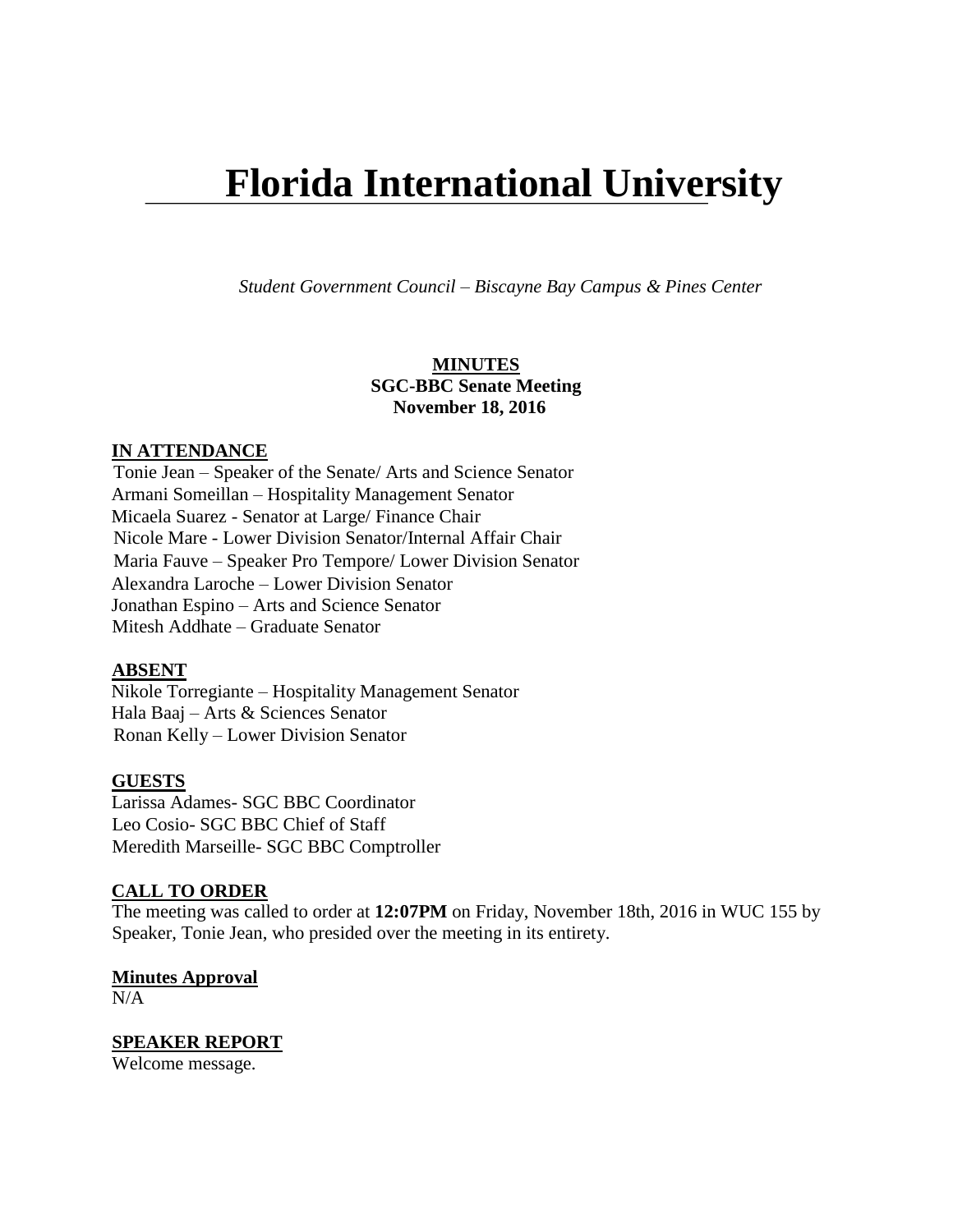# **Florida International University**

*Student Government Council – Biscayne Bay Campus & Pines Center*

## **MINUTES SGC-BBC Senate Meeting November 18, 2016**

#### **IN ATTENDANCE**

Tonie Jean – Speaker of the Senate/ Arts and Science Senator Armani Someillan – Hospitality Management Senator Micaela Suarez - Senator at Large/ Finance Chair Nicole Mare - Lower Division Senator/Internal Affair Chair Maria Fauve – Speaker Pro Tempore/ Lower Division Senator Alexandra Laroche – Lower Division Senator Jonathan Espino – Arts and Science Senator Mitesh Addhate – Graduate Senator

#### **ABSENT**

Nikole Torregiante – Hospitality Management Senator Hala Baaj – Arts & Sciences Senator Ronan Kelly – Lower Division Senator

#### **GUESTS**

Larissa Adames- SGC BBC Coordinator Leo Cosio- SGC BBC Chief of Staff Meredith Marseille- SGC BBC Comptroller

# **CALL TO ORDER**

The meeting was called to order at **12:07PM** on Friday, November 18th, 2016 in WUC 155 by Speaker, Tonie Jean, who presided over the meeting in its entirety.

#### **Minutes Approval**

 $N/A$ 

#### **SPEAKER REPORT** Welcome message.